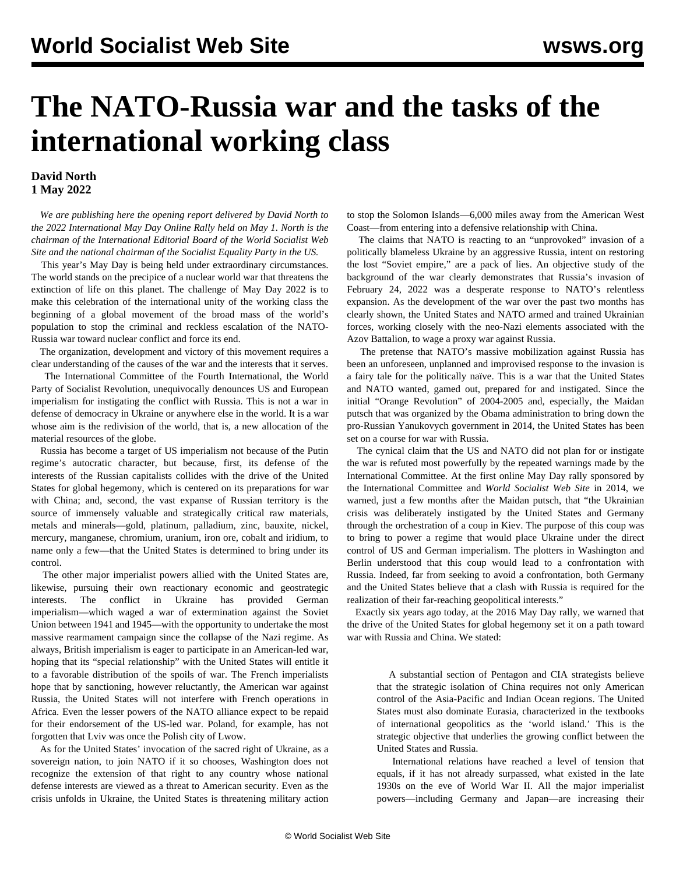## **The NATO-Russia war and the tasks of the international working class**

## **David North 1 May 2022**

 *We are publishing here the opening report delivered by David North to the 2022 International May Day Online Rally held on May 1. North is the chairman of the International Editorial Board of the World Socialist Web Site and the national chairman of the Socialist Equality Party in the US.*

 This year's May Day is being held under extraordinary circumstances. The world stands on the precipice of a nuclear world war that threatens the extinction of life on this planet. The challenge of May Day 2022 is to make this celebration of the international unity of the working class the beginning of a global movement of the broad mass of the world's population to stop the criminal and reckless escalation of the NATO-Russia war toward nuclear conflict and force its end.

 The organization, development and victory of this movement requires a clear understanding of the causes of the war and the interests that it serves.

 The International Committee of the Fourth International, the World Party of Socialist Revolution, unequivocally denounces US and European imperialism for instigating the conflict with Russia. This is not a war in defense of democracy in Ukraine or anywhere else in the world. It is a war whose aim is the redivision of the world, that is, a new allocation of the material resources of the globe.

 Russia has become a target of US imperialism not because of the Putin regime's autocratic character, but because, first, its defense of the interests of the Russian capitalists collides with the drive of the United States for global hegemony, which is centered on its preparations for war with China; and, second, the vast expanse of Russian territory is the source of immensely valuable and strategically critical raw materials, metals and minerals—gold, platinum, palladium, zinc, bauxite, nickel, mercury, manganese, chromium, uranium, iron ore, cobalt and iridium, to name only a few—that the United States is determined to bring under its control.

 The other major imperialist powers allied with the United States are, likewise, pursuing their own reactionary economic and geostrategic interests. The conflict in Ukraine has provided German imperialism—which waged a war of extermination against the Soviet Union between 1941 and 1945—with the opportunity to undertake the most massive rearmament campaign since the collapse of the Nazi regime. As always, British imperialism is eager to participate in an American-led war, hoping that its "special relationship" with the United States will entitle it to a favorable distribution of the spoils of war. The French imperialists hope that by sanctioning, however reluctantly, the American war against Russia, the United States will not interfere with French operations in Africa. Even the lesser powers of the NATO alliance expect to be repaid for their endorsement of the US-led war. Poland, for example, has not forgotten that Lviv was once the Polish city of Lwow.

 As for the United States' invocation of the sacred right of Ukraine, as a sovereign nation, to join NATO if it so chooses, Washington does not recognize the extension of that right to any country whose national defense interests are viewed as a threat to American security. Even as the crisis unfolds in Ukraine, the United States is threatening military action to stop the Solomon Islands—6,000 miles away from the American West Coast—from entering into a defensive relationship with China.

 The claims that NATO is reacting to an "unprovoked" invasion of a politically blameless Ukraine by an aggressive Russia, intent on restoring the lost "Soviet empire," are a pack of lies. An objective study of the background of the war clearly demonstrates that Russia's invasion of February 24, 2022 was a desperate response to NATO's relentless expansion. As the development of the war over the past two months has clearly shown, the United States and NATO armed and trained Ukrainian forces, working closely with the neo-Nazi elements associated with the Azov Battalion, to wage a proxy war against Russia.

 The pretense that NATO's massive mobilization against Russia has been an unforeseen, unplanned and improvised response to the invasion is a fairy tale for the politically naïve. This is a war that the United States and NATO wanted, gamed out, prepared for and instigated. Since the initial "Orange Revolution" of 2004-2005 and, especially, the Maidan putsch that was organized by the Obama administration to bring down the pro-Russian Yanukovych government in 2014, the United States has been set on a course for war with Russia.

 The cynical claim that the US and NATO did not plan for or instigate the war is refuted most powerfully by the repeated warnings made by the International Committee. At the first online May Day rally sponsored by the International Committee and *World Socialist Web Site* in 2014, we warned, just a few months after the Maidan putsch, that "the Ukrainian crisis was deliberately instigated by the United States and Germany through the orchestration of a coup in Kiev. The purpose of this coup was to bring to power a regime that would place Ukraine under the direct control of US and German imperialism. The plotters in Washington and Berlin understood that this coup would lead to a confrontation with Russia. Indeed, far from seeking to avoid a confrontation, both Germany and the United States believe that a clash with Russia is required for the realization of their far-reaching geopolitical interests."

 Exactly six years ago today, at the 2016 May Day rally, we warned that the drive of the United States for global hegemony set it on a path toward war with Russia and China. We stated:

 A substantial section of Pentagon and CIA strategists believe that the strategic isolation of China requires not only American control of the Asia-Pacific and Indian Ocean regions. The United States must also dominate Eurasia, characterized in the textbooks of international geopolitics as the 'world island.' This is the strategic objective that underlies the growing conflict between the United States and Russia.

 International relations have reached a level of tension that equals, if it has not already surpassed, what existed in the late 1930s on the eve of World War II. All the major imperialist powers—including Germany and Japan—are increasing their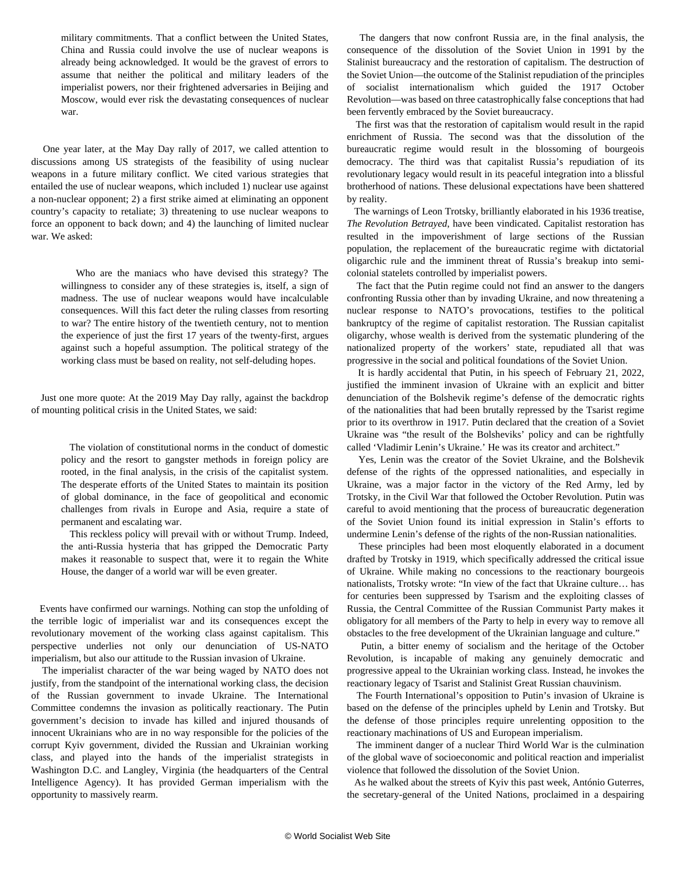military commitments. That a conflict between the United States, China and Russia could involve the use of nuclear weapons is already being acknowledged. It would be the gravest of errors to assume that neither the political and military leaders of the imperialist powers, nor their frightened adversaries in Beijing and Moscow, would ever risk the devastating consequences of nuclear war.

 One year later, at the May Day rally of 2017, we called attention to discussions among US strategists of the feasibility of using nuclear weapons in a future military conflict. We cited various strategies that entailed the use of nuclear weapons, which included 1) nuclear use against a non-nuclear opponent; 2) a first strike aimed at eliminating an opponent country's capacity to retaliate; 3) threatening to use nuclear weapons to force an opponent to back down; and 4) the launching of limited nuclear war. We asked:

 Who are the maniacs who have devised this strategy? The willingness to consider any of these strategies is, itself, a sign of madness. The use of nuclear weapons would have incalculable consequences. Will this fact deter the ruling classes from resorting to war? The entire history of the twentieth century, not to mention the experience of just the first 17 years of the twenty-first, argues against such a hopeful assumption. The political strategy of the working class must be based on reality, not self-deluding hopes.

 Just one more quote: At the 2019 May Day rally, against the backdrop of mounting political crisis in the United States, we said:

 The violation of constitutional norms in the conduct of domestic policy and the resort to gangster methods in foreign policy are rooted, in the final analysis, in the crisis of the capitalist system. The desperate efforts of the United States to maintain its position of global dominance, in the face of geopolitical and economic challenges from rivals in Europe and Asia, require a state of permanent and escalating war.

 This reckless policy will prevail with or without Trump. Indeed, the anti-Russia hysteria that has gripped the Democratic Party makes it reasonable to suspect that, were it to regain the White House, the danger of a world war will be even greater.

 Events have confirmed our warnings. Nothing can stop the unfolding of the terrible logic of imperialist war and its consequences except the revolutionary movement of the working class against capitalism. This perspective underlies not only our denunciation of US-NATO imperialism, but also our attitude to the Russian invasion of Ukraine.

 The imperialist character of the war being waged by NATO does not justify, from the standpoint of the international working class, the decision of the Russian government to invade Ukraine. The International Committee condemns the invasion as politically reactionary. The Putin government's decision to invade has killed and injured thousands of innocent Ukrainians who are in no way responsible for the policies of the corrupt Kyiv government, divided the Russian and Ukrainian working class, and played into the hands of the imperialist strategists in Washington D.C. and Langley, Virginia (the headquarters of the Central Intelligence Agency). It has provided German imperialism with the opportunity to massively rearm.

 The dangers that now confront Russia are, in the final analysis, the consequence of the dissolution of the Soviet Union in 1991 by the Stalinist bureaucracy and the restoration of capitalism. The destruction of the Soviet Union—the outcome of the Stalinist repudiation of the principles of socialist internationalism which guided the 1917 October Revolution—was based on three catastrophically false conceptions that had been fervently embraced by the Soviet bureaucracy.

 The first was that the restoration of capitalism would result in the rapid enrichment of Russia. The second was that the dissolution of the bureaucratic regime would result in the blossoming of bourgeois democracy. The third was that capitalist Russia's repudiation of its revolutionary legacy would result in its peaceful integration into a blissful brotherhood of nations. These delusional expectations have been shattered by reality.

 The warnings of Leon Trotsky, brilliantly elaborated in his 1936 treatise, *The Revolution Betrayed*, have been vindicated. Capitalist restoration has resulted in the impoverishment of large sections of the Russian population, the replacement of the bureaucratic regime with dictatorial oligarchic rule and the imminent threat of Russia's breakup into semicolonial statelets controlled by imperialist powers.

 The fact that the Putin regime could not find an answer to the dangers confronting Russia other than by invading Ukraine, and now threatening a nuclear response to NATO's provocations, testifies to the political bankruptcy of the regime of capitalist restoration. The Russian capitalist oligarchy, whose wealth is derived from the systematic plundering of the nationalized property of the workers' state, repudiated all that was progressive in the social and political foundations of the Soviet Union.

 It is hardly accidental that Putin, in his speech of February 21, 2022, justified the imminent invasion of Ukraine with an explicit and bitter denunciation of the Bolshevik regime's defense of the democratic rights of the nationalities that had been brutally repressed by the Tsarist regime prior to its overthrow in 1917. Putin declared that the creation of a Soviet Ukraine was "the result of the Bolsheviks' policy and can be rightfully called 'Vladimir Lenin's Ukraine.' He was its creator and architect."

 Yes, Lenin was the creator of the Soviet Ukraine, and the Bolshevik defense of the rights of the oppressed nationalities, and especially in Ukraine, was a major factor in the victory of the Red Army, led by Trotsky, in the Civil War that followed the October Revolution. Putin was careful to avoid mentioning that the process of bureaucratic degeneration of the Soviet Union found its initial expression in Stalin's efforts to undermine Lenin's defense of the rights of the non-Russian nationalities.

 These principles had been most eloquently elaborated in a document drafted by Trotsky in 1919, which specifically addressed the critical issue of Ukraine. While making no concessions to the reactionary bourgeois nationalists, Trotsky wrote: "In view of the fact that Ukraine culture… has for centuries been suppressed by Tsarism and the exploiting classes of Russia, the Central Committee of the Russian Communist Party makes it obligatory for all members of the Party to help in every way to remove all obstacles to the free development of the Ukrainian language and culture."

 Putin, a bitter enemy of socialism and the heritage of the October Revolution, is incapable of making any genuinely democratic and progressive appeal to the Ukrainian working class. Instead, he invokes the reactionary legacy of Tsarist and Stalinist Great Russian chauvinism.

 The Fourth International's opposition to Putin's invasion of Ukraine is based on the defense of the principles upheld by Lenin and Trotsky. But the defense of those principles require unrelenting opposition to the reactionary machinations of US and European imperialism.

 The imminent danger of a nuclear Third World War is the culmination of the global wave of socioeconomic and political reaction and imperialist violence that followed the dissolution of the Soviet Union.

 As he walked about the streets of Kyiv this past week, António Guterres, the secretary-general of the United Nations, proclaimed in a despairing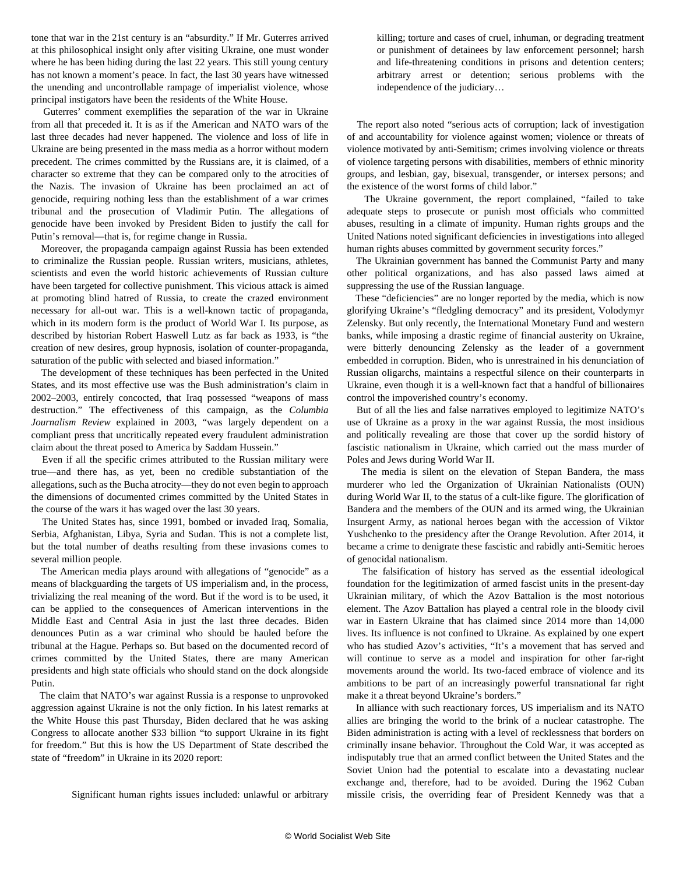tone that war in the 21st century is an "absurdity." If Mr. Guterres arrived at this philosophical insight only after visiting Ukraine, one must wonder where he has been hiding during the last 22 years. This still young century has not known a moment's peace. In fact, the last 30 years have witnessed the unending and uncontrollable rampage of imperialist violence, whose principal instigators have been the residents of the White House.

 Guterres' comment exemplifies the separation of the war in Ukraine from all that preceded it. It is as if the American and NATO wars of the last three decades had never happened. The violence and loss of life in Ukraine are being presented in the mass media as a horror without modern precedent. The crimes committed by the Russians are, it is claimed, of a character so extreme that they can be compared only to the atrocities of the Nazis. The invasion of Ukraine has been proclaimed an act of genocide, requiring nothing less than the establishment of a war crimes tribunal and the prosecution of Vladimir Putin. The allegations of genocide have been invoked by President Biden to justify the call for Putin's removal—that is, for regime change in Russia.

 Moreover, the propaganda campaign against Russia has been extended to criminalize the Russian people. Russian writers, musicians, athletes, scientists and even the world historic achievements of Russian culture have been targeted for collective punishment. This vicious attack is aimed at promoting blind hatred of Russia, to create the crazed environment necessary for all-out war. This is a well-known tactic of propaganda, which in its modern form is the product of World War I. Its purpose, as described by historian Robert Haswell Lutz as far back as 1933, is "the creation of new desires, group hypnosis, isolation of counter-propaganda, saturation of the public with selected and biased information."

 The development of these techniques has been perfected in the United States, and its most effective use was the Bush administration's claim in 2002–2003, entirely concocted, that Iraq possessed "weapons of mass destruction." The effectiveness of this campaign, as the *Columbia Journalism Review* explained in 2003, "was largely dependent on a compliant press that uncritically repeated every fraudulent administration claim about the threat posed to America by Saddam Hussein."

 Even if all the specific crimes attributed to the Russian military were true—and there has, as yet, been no credible substantiation of the allegations, such as the Bucha atrocity—they do not even begin to approach the dimensions of documented crimes committed by the United States in the course of the wars it has waged over the last 30 years.

 The United States has, since 1991, bombed or invaded Iraq, Somalia, Serbia, Afghanistan, Libya, Syria and Sudan. This is not a complete list, but the total number of deaths resulting from these invasions comes to several million people.

 The American media plays around with allegations of "genocide" as a means of blackguarding the targets of US imperialism and, in the process, trivializing the real meaning of the word. But if the word is to be used, it can be applied to the consequences of American interventions in the Middle East and Central Asia in just the last three decades. Biden denounces Putin as a war criminal who should be hauled before the tribunal at the Hague. Perhaps so. But based on the documented record of crimes committed by the United States, there are many American presidents and high state officials who should stand on the dock alongside Putin.

 The claim that NATO's war against Russia is a response to unprovoked aggression against Ukraine is not the only fiction. In his latest remarks at the White House this past Thursday, Biden declared that he was asking Congress to allocate another \$33 billion "to support Ukraine in its fight for freedom." But this is how the US Department of State described the state of "freedom" in Ukraine in its 2020 report:

Significant human rights issues included: unlawful or arbitrary

killing; torture and cases of cruel, inhuman, or degrading treatment or punishment of detainees by law enforcement personnel; harsh and life-threatening conditions in prisons and detention centers; arbitrary arrest or detention; serious problems with the independence of the judiciary…

 The report also noted "serious acts of corruption; lack of investigation of and accountability for violence against women; violence or threats of violence motivated by anti-Semitism; crimes involving violence or threats of violence targeting persons with disabilities, members of ethnic minority groups, and lesbian, gay, bisexual, transgender, or intersex persons; and the existence of the worst forms of child labor."

 The Ukraine government, the report complained, "failed to take adequate steps to prosecute or punish most officials who committed abuses, resulting in a climate of impunity. Human rights groups and the United Nations noted significant deficiencies in investigations into alleged human rights abuses committed by government security forces."

 The Ukrainian government has banned the Communist Party and many other political organizations, and has also passed laws aimed at suppressing the use of the Russian language.

 These "deficiencies" are no longer reported by the media, which is now glorifying Ukraine's "fledgling democracy" and its president, Volodymyr Zelensky. But only recently, the International Monetary Fund and western banks, while imposing a drastic regime of financial austerity on Ukraine, were bitterly denouncing Zelensky as the leader of a government embedded in corruption. Biden, who is unrestrained in his denunciation of Russian oligarchs, maintains a respectful silence on their counterparts in Ukraine, even though it is a well-known fact that a handful of billionaires control the impoverished country's economy.

 But of all the lies and false narratives employed to legitimize NATO's use of Ukraine as a proxy in the war against Russia, the most insidious and politically revealing are those that cover up the sordid history of fascistic nationalism in Ukraine, which carried out the mass murder of Poles and Jews during World War II.

 The media is silent on the elevation of Stepan Bandera, the mass murderer who led the Organization of Ukrainian Nationalists (OUN) during World War II, to the status of a cult-like figure. The glorification of Bandera and the members of the OUN and its armed wing, the Ukrainian Insurgent Army, as national heroes began with the accession of Viktor Yushchenko to the presidency after the Orange Revolution. After 2014, it became a crime to denigrate these fascistic and rabidly anti-Semitic heroes of genocidal nationalism.

 The falsification of history has served as the essential ideological foundation for the legitimization of armed fascist units in the present-day Ukrainian military, of which the Azov Battalion is the most notorious element. The Azov Battalion has played a central role in the bloody civil war in Eastern Ukraine that has claimed since 2014 more than 14,000 lives. Its influence is not confined to Ukraine. As explained by one expert who has studied Azov's activities, "It's a movement that has served and will continue to serve as a model and inspiration for other far-right movements around the world. Its two-faced embrace of violence and its ambitions to be part of an increasingly powerful transnational far right make it a threat beyond Ukraine's borders."

 In alliance with such reactionary forces, US imperialism and its NATO allies are bringing the world to the brink of a nuclear catastrophe. The Biden administration is acting with a level of recklessness that borders on criminally insane behavior. Throughout the Cold War, it was accepted as indisputably true that an armed conflict between the United States and the Soviet Union had the potential to escalate into a devastating nuclear exchange and, therefore, had to be avoided. During the 1962 Cuban missile crisis, the overriding fear of President Kennedy was that a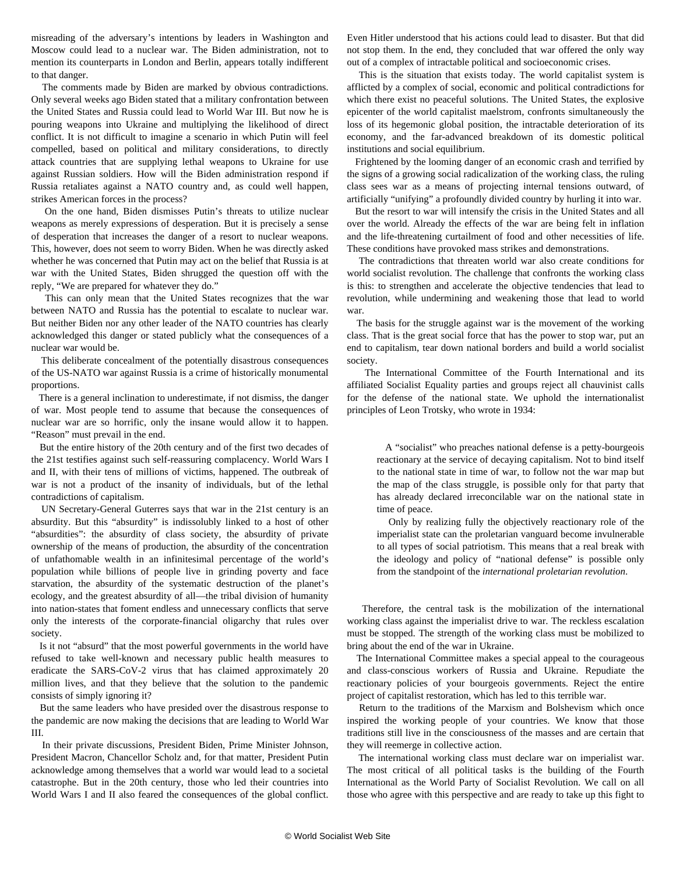misreading of the adversary's intentions by leaders in Washington and Moscow could lead to a nuclear war. The Biden administration, not to mention its counterparts in London and Berlin, appears totally indifferent to that danger.

 The comments made by Biden are marked by obvious contradictions. Only several weeks ago Biden stated that a military confrontation between the United States and Russia could lead to World War III. But now he is pouring weapons into Ukraine and multiplying the likelihood of direct conflict. It is not difficult to imagine a scenario in which Putin will feel compelled, based on political and military considerations, to directly attack countries that are supplying lethal weapons to Ukraine for use against Russian soldiers. How will the Biden administration respond if Russia retaliates against a NATO country and, as could well happen, strikes American forces in the process?

 On the one hand, Biden dismisses Putin's threats to utilize nuclear weapons as merely expressions of desperation. But it is precisely a sense of desperation that increases the danger of a resort to nuclear weapons. This, however, does not seem to worry Biden. When he was directly asked whether he was concerned that Putin may act on the belief that Russia is at war with the United States, Biden shrugged the question off with the reply, "We are prepared for whatever they do."

 This can only mean that the United States recognizes that the war between NATO and Russia has the potential to escalate to nuclear war. But neither Biden nor any other leader of the NATO countries has clearly acknowledged this danger or stated publicly what the consequences of a nuclear war would be.

 This deliberate concealment of the potentially disastrous consequences of the US-NATO war against Russia is a crime of historically monumental proportions.

 There is a general inclination to underestimate, if not dismiss, the danger of war. Most people tend to assume that because the consequences of nuclear war are so horrific, only the insane would allow it to happen. "Reason" must prevail in the end.

 But the entire history of the 20th century and of the first two decades of the 21st testifies against such self-reassuring complacency. World Wars I and II, with their tens of millions of victims, happened. The outbreak of war is not a product of the insanity of individuals, but of the lethal contradictions of capitalism.

 UN Secretary-General Guterres says that war in the 21st century is an absurdity. But this "absurdity" is indissolubly linked to a host of other "absurdities": the absurdity of class society, the absurdity of private ownership of the means of production, the absurdity of the concentration of unfathomable wealth in an infinitesimal percentage of the world's population while billions of people live in grinding poverty and face starvation, the absurdity of the systematic destruction of the planet's ecology, and the greatest absurdity of all—the tribal division of humanity into nation-states that foment endless and unnecessary conflicts that serve only the interests of the corporate-financial oligarchy that rules over society.

 Is it not "absurd" that the most powerful governments in the world have refused to take well-known and necessary public health measures to eradicate the SARS-CoV-2 virus that has claimed approximately 20 million lives, and that they believe that the solution to the pandemic consists of simply ignoring it?

 But the same leaders who have presided over the disastrous response to the pandemic are now making the decisions that are leading to World War III.

 In their private discussions, President Biden, Prime Minister Johnson, President Macron, Chancellor Scholz and, for that matter, President Putin acknowledge among themselves that a world war would lead to a societal catastrophe. But in the 20th century, those who led their countries into World Wars I and II also feared the consequences of the global conflict.

Even Hitler understood that his actions could lead to disaster. But that did not stop them. In the end, they concluded that war offered the only way out of a complex of intractable political and socioeconomic crises.

 This is the situation that exists today. The world capitalist system is afflicted by a complex of social, economic and political contradictions for which there exist no peaceful solutions. The United States, the explosive epicenter of the world capitalist maelstrom, confronts simultaneously the loss of its hegemonic global position, the intractable deterioration of its economy, and the far-advanced breakdown of its domestic political institutions and social equilibrium.

 Frightened by the looming danger of an economic crash and terrified by the signs of a growing social radicalization of the working class, the ruling class sees war as a means of projecting internal tensions outward, of artificially "unifying" a profoundly divided country by hurling it into war.

 But the resort to war will intensify the crisis in the United States and all over the world. Already the effects of the war are being felt in inflation and the life-threatening curtailment of food and other necessities of life. These conditions have provoked mass strikes and demonstrations.

 The contradictions that threaten world war also create conditions for world socialist revolution. The challenge that confronts the working class is this: to strengthen and accelerate the objective tendencies that lead to revolution, while undermining and weakening those that lead to world war.

 The basis for the struggle against war is the movement of the working class. That is the great social force that has the power to stop war, put an end to capitalism, tear down national borders and build a world socialist society.

 The International Committee of the Fourth International and its affiliated Socialist Equality parties and groups reject all chauvinist calls for the defense of the national state. We uphold the internationalist principles of Leon Trotsky, who wrote in 1934:

 A "socialist" who preaches national defense is a petty-bourgeois reactionary at the service of decaying capitalism. Not to bind itself to the national state in time of war, to follow not the war map but the map of the class struggle, is possible only for that party that has already declared irreconcilable war on the national state in time of peace.

 Only by realizing fully the objectively reactionary role of the imperialist state can the proletarian vanguard become invulnerable to all types of social patriotism. This means that a real break with the ideology and policy of "national defense" is possible only from the standpoint of the *international proletarian revolution*.

 Therefore, the central task is the mobilization of the international working class against the imperialist drive to war. The reckless escalation must be stopped. The strength of the working class must be mobilized to bring about the end of the war in Ukraine.

 The International Committee makes a special appeal to the courageous and class-conscious workers of Russia and Ukraine. Repudiate the reactionary policies of your bourgeois governments. Reject the entire project of capitalist restoration, which has led to this terrible war.

 Return to the traditions of the Marxism and Bolshevism which once inspired the working people of your countries. We know that those traditions still live in the consciousness of the masses and are certain that they will reemerge in collective action.

 The international working class must declare war on imperialist war. The most critical of all political tasks is the building of the Fourth International as the World Party of Socialist Revolution. We call on all those who agree with this perspective and are ready to take up this fight to